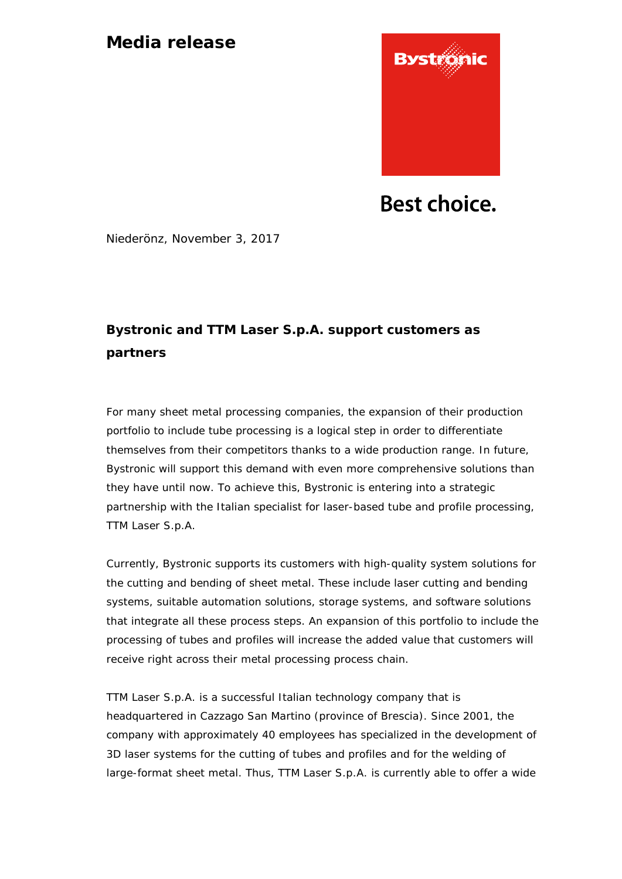## **Media release**



**Best choice.** 

Niederönz, November 3, 2017

# **Bystronic and TTM Laser S.p.A. support customers as partners**

For many sheet metal processing companies, the expansion of their production portfolio to include tube processing is a logical step in order to differentiate themselves from their competitors thanks to a wide production range. In future, Bystronic will support this demand with even more comprehensive solutions than they have until now. To achieve this, Bystronic is entering into a strategic partnership with the Italian specialist for laser-based tube and profile processing, TTM Laser S.p.A.

Currently, Bystronic supports its customers with high-quality system solutions for the cutting and bending of sheet metal. These include laser cutting and bending systems, suitable automation solutions, storage systems, and software solutions that integrate all these process steps. An expansion of this portfolio to include the processing of tubes and profiles will increase the added value that customers will receive right across their metal processing process chain.

TTM Laser S.p.A. is a successful Italian technology company that is headquartered in Cazzago San Martino (province of Brescia). Since 2001, the company with approximately 40 employees has specialized in the development of 3D laser systems for the cutting of tubes and profiles and for the welding of large-format sheet metal. Thus, TTM Laser S.p.A. is currently able to offer a wide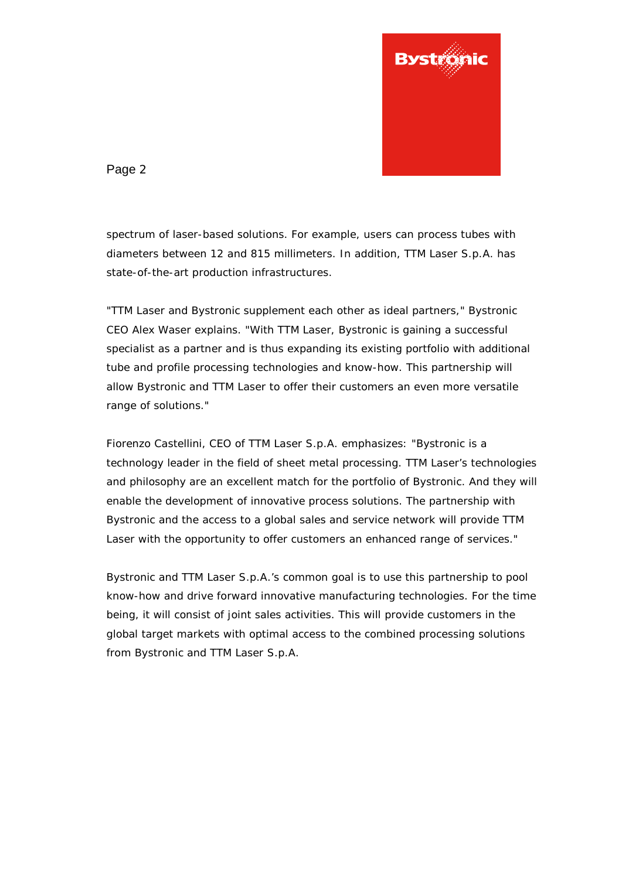

Page 2

spectrum of laser-based solutions. For example, users can process tubes with diameters between 12 and 815 millimeters. In addition, TTM Laser S.p.A. has state-of-the-art production infrastructures.

"TTM Laser and Bystronic supplement each other as ideal partners," Bystronic CEO Alex Waser explains. "With TTM Laser, Bystronic is gaining a successful specialist as a partner and is thus expanding its existing portfolio with additional tube and profile processing technologies and know-how. This partnership will allow Bystronic and TTM Laser to offer their customers an even more versatile range of solutions."

Fiorenzo Castellini, CEO of TTM Laser S.p.A. emphasizes: "Bystronic is a technology leader in the field of sheet metal processing. TTM Laser's technologies and philosophy are an excellent match for the portfolio of Bystronic. And they will enable the development of innovative process solutions. The partnership with Bystronic and the access to a global sales and service network will provide TTM Laser with the opportunity to offer customers an enhanced range of services."

Bystronic and TTM Laser S.p.A.'s common goal is to use this partnership to pool know-how and drive forward innovative manufacturing technologies. For the time being, it will consist of joint sales activities. This will provide customers in the global target markets with optimal access to the combined processing solutions from Bystronic and TTM Laser S.p.A.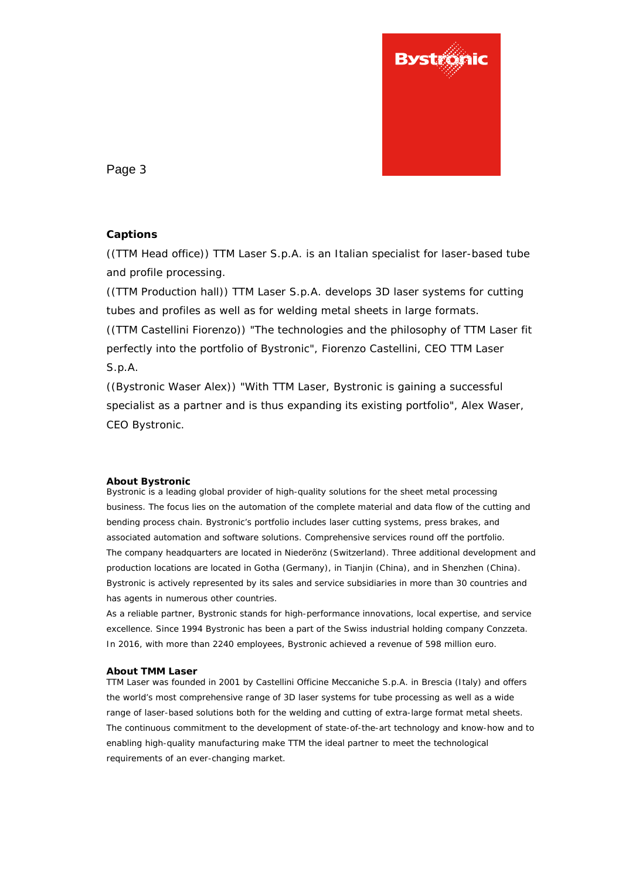

Page 3

### **Captions**

((TTM Head office)) TTM Laser S.p.A. is an Italian specialist for laser-based tube and profile processing.

((TTM Production hall)) TTM Laser S.p.A. develops 3D laser systems for cutting tubes and profiles as well as for welding metal sheets in large formats. ((TTM Castellini Fiorenzo)) "The technologies and the philosophy of TTM Laser fit perfectly into the portfolio of Bystronic", Fiorenzo Castellini, CEO TTM Laser S.p.A.

((Bystronic Waser Alex)) "With TTM Laser, Bystronic is gaining a successful specialist as a partner and is thus expanding its existing portfolio", Alex Waser, CEO Bystronic.

#### **About Bystronic**

Bystronic is a leading global provider of high-quality solutions for the sheet metal processing business. The focus lies on the automation of the complete material and data flow of the cutting and bending process chain. Bystronic's portfolio includes laser cutting systems, press brakes, and associated automation and software solutions. Comprehensive services round off the portfolio. The company headquarters are located in Niederönz (Switzerland). Three additional development and production locations are located in Gotha (Germany), in Tianjin (China), and in Shenzhen (China). Bystronic is actively represented by its sales and service subsidiaries in more than 30 countries and has agents in numerous other countries.

As a reliable partner, Bystronic stands for high-performance innovations, local expertise, and service excellence. Since 1994 Bystronic has been a part of the Swiss industrial holding company Conzzeta. In 2016, with more than 2240 employees, Bystronic achieved a revenue of 598 million euro.

#### **About TMM Laser**

TTM Laser was founded in 2001 by Castellini Officine Meccaniche S.p.A. in Brescia (Italy) and offers the world's most comprehensive range of 3D laser systems for tube processing as well as a wide range of laser-based solutions both for the welding and cutting of extra-large format metal sheets. The continuous commitment to the development of state-of-the-art technology and know-how and to enabling high-quality manufacturing make TTM the ideal partner to meet the technological requirements of an ever-changing market.